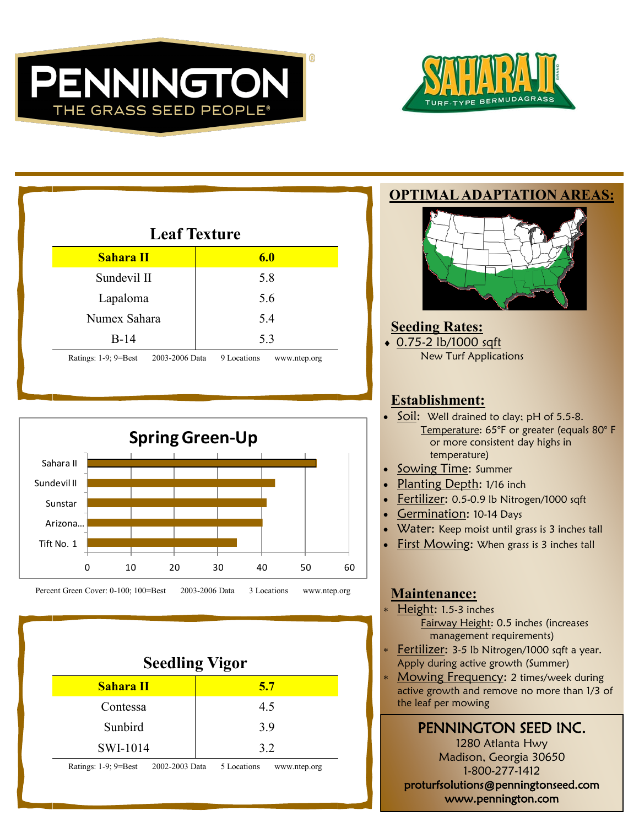



| <b>Leaf Texture</b>                         |                             |
|---------------------------------------------|-----------------------------|
| Sahara II                                   | 6.0                         |
| Sundevil II                                 | 5.8                         |
| Lapaloma                                    | 5.6                         |
| Numex Sahara                                | 5.4                         |
| $B-14$                                      | 5.3                         |
| Ratings: $1-9$ ; $9=Best$<br>2003-2006 Data | 9 Locations<br>www.ntep.org |



Percent Green Cover: 0-100; 100=Best 2003-2006 Data 3 Locations www.ntep.org

| <b>Seedling Vigor</b>                                                                                          |     |  |
|----------------------------------------------------------------------------------------------------------------|-----|--|
| <b>Sahara II</b>                                                                                               | 5.7 |  |
| Contessa                                                                                                       | 4.5 |  |
| Sunbird                                                                                                        | 3.9 |  |
| SWI-1014                                                                                                       | 3.2 |  |
| $\mathbf{D}$ $\mathbf{A}$ $\mathbf{A}$ $\mathbf{A}$ $\mathbf{D}$ $\mathbf{A}$<br>$2002.2002.5$ $\sigma$ $\tau$ |     |  |

Ratings: 1-9; 9=Best 2002-2003 Data 5 Locations www.ntep.org

#### **OPTIMAL ADAPTATION AREAS:**



# **Seeding Rates:**

 0.75-2 lb/1000 sqft New Turf Applications

### **Establishment:**

- Soil: Well drained to clay; pH of 5.5-8. Temperature: 65°F or greater (equals 80° F or more consistent day highs in temperature)
- Sowing Time: Summer
- Planting Depth: 1/16 inch
- Fertilizer: 0.5-0.9 lb Nitrogen/1000 sqft
- Germination: 10-14 Days
- Water: Keep moist until grass is 3 inches tall
- **First Mowing: When grass is 3 inches tall**

### **Maintenance:**

- Height: 1.5-3 inches Fairway Height: 0.5 inches (increases management requirements)
- Fertilizer: 3-5 lb Nitrogen/1000 sqft a year. Apply during active growth (Summer)
- Mowing Frequency: 2 times/week during active growth and remove no more than 1/3 of the leaf per mowing

PENNINGTON SEED INC. 1280 Atlanta Hwy Madison, Georgia 30650 1-800-277-1412 proturfsolutions@penningtonseed.com www.pennington.com